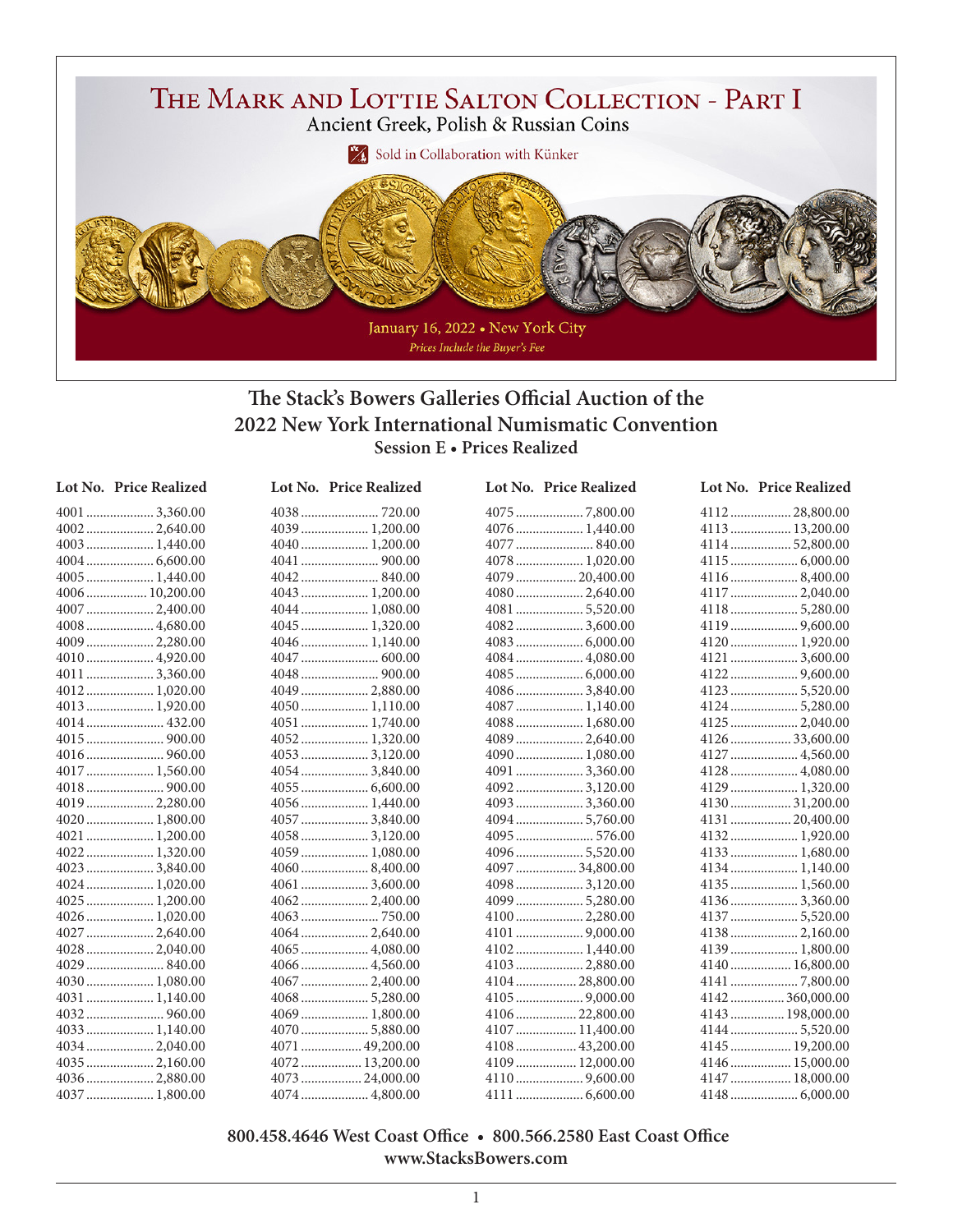

## **The Stack's Bowers Galleries Official Auction of the 2022 New York International Numismatic Convention Session E • Prices Realized**

| Lot No. Price Realized |
|------------------------|
| $4001$ 3,360.00        |
|                        |
|                        |
|                        |
|                        |
| 4006 10,200.00         |
|                        |
| 4008  4,680.00         |
| 4009  2,280.00         |
|                        |
| 40113,360.00           |
| 4012 1,020.00          |
| 4013 1,920.00          |
| 4014 432.00            |
|                        |
|                        |
| 4017  1,560.00         |
|                        |
|                        |
| 4020  1,800.00         |
|                        |
|                        |
| 4023 3,840.00          |
|                        |
| 4025  1,200.00         |
| 4026 1,020.00          |
| 4027  2,640.00         |
| 40282,040.00           |
|                        |
| 4030 1,080.00          |
| 4031 1,140.00          |
|                        |
| 4033 1,140.00          |
|                        |
| 4036  2,880.00         |
|                        |
| 4037 1,800.00          |

| LUL IAU. | <b>THUE INEAL</b> |
|----------|-------------------|
|          |                   |
|          |                   |
|          | 4040 1,200.00     |
|          |                   |
|          |                   |
|          | 4043  1,200.00    |
|          | 4044 1,080.00     |
|          | 4045  1,320.00    |
|          | 4046 1,140.00     |
|          |                   |
|          |                   |
|          | 4049  2,880.00    |
|          | 4050 1,110.00     |
|          | 4051  1,740.00    |
|          | 4052 1,320.00     |
|          | 4053  3,120.00    |
|          | 4054  3,840.00    |
|          |                   |
|          | 4056 1,440.00     |
|          | $4057$ 3,840.00   |
|          | 4058  3,120.00    |
|          |                   |
|          | $4060$ 8,400.00   |
|          |                   |
|          | 40622,400.00      |
|          |                   |
|          |                   |
|          | 4065  4,080.00    |
|          |                   |
|          | 4067  2,400.00    |
|          | 4068  5,280.00    |
|          | 4069  1,800.00    |
|          | 4070  5,880.00    |
|          | 4071  49,200.00   |
|          | 4072 13,200.00    |
|          |                   |

.................... 4,800.00

| Lot No. Price Realized | Lot No. Price Realized | Lot No. Price Realized |
|------------------------|------------------------|------------------------|
|                        |                        |                        |
|                        | 4076  1,440.00         | 4113  13,200.00        |
|                        |                        | 411452,800.00          |
|                        |                        |                        |
|                        | 4079  20,400.00        | 41168,400.00           |
| 4043  1,200.00         |                        | 4117  2,040.00         |
| 4044  1,080.00         |                        | 41185,280.00           |
|                        |                        |                        |
| 4046 1,140.00          |                        | 4120 1,920.00          |
|                        | 4084  4,080.00         | 4121  3,600.00         |
|                        |                        |                        |
| 4049  2,880.00         | 40863,840.00           |                        |
| 4050 1,110.00          | 4087  1,140.00         | 4124  5,280.00         |
|                        | 4088  1,680.00         | 4125  2,040.00         |
|                        |                        | 4126 33,600.00         |
|                        | 4090 1,080.00          | 4127  4,560.00         |
| 40543,840.00           | 4091  3,360.00         | 4128  4,080.00         |
|                        |                        | 4129  1,320.00         |
|                        |                        | 413031,200.00          |
| 4057  3,840.00         | 40945,760.00           | 4131  20,400.00        |
| 4058  3,120.00         |                        | 4132 1,920.00          |
| 4059 1,080.00          | 40965,520.00           |                        |
|                        | 4097  34,800.00        |                        |
| 4061  3,600.00         |                        | 4135 1,560.00          |
|                        |                        | 41363,360.00           |
|                        |                        | 4137  5,520.00         |
| 40642,640.00           |                        |                        |
| 4065  4,080.00         |                        | 4139  1,800.00         |
| 4066  4,560.00         | 4103  2,880.00         | 4140  16,800.00        |
|                        | 410428,800.00          |                        |
|                        |                        | 4142  360,000.00       |
| 4069  1,800.00         | 4106  22,800.00        | 4143  198,000.00       |
|                        | 4107  11,400.00        | 41445,520.00           |
| 4071  49,200.00        |                        |                        |
| 4072 13,200.00         | 4109  12,000.00        | 4146  15,000.00        |

 .................... 9,600.00 .................... 6,600.00

| 411228,800.00    |
|------------------|
| 4113  13,200.00  |
| 4114  52,800.00  |
|                  |
|                  |
| 4117  2,040.00   |
| 41185,280.00     |
|                  |
| 4120 1,920.00    |
| 4121  3,600.00   |
|                  |
|                  |
| 41245,280.00     |
| 4125  2,040.00   |
| 4126 33,600.00   |
|                  |
| 4128  4,080.00   |
| 4129  1,320.00   |
| 413031,200.00    |
| 4131  20,400.00  |
|                  |
| 4133  1,680.00   |
| 4134 1,140.00    |
| 4135  1,560.00   |
| 41363,360.00     |
| 4137  5,520.00   |
| 4138 2,160.00    |
| 4139 1,800.00    |
| 4140  16,800.00  |
|                  |
| 4142360,000.00   |
| 4143  198,000.00 |
| 4144  5,520.00   |
| 4145  19,200.00  |

 .................. 15,000.00 .................. 18,000.00 .................... 6,000.00

## **800.458.4646 West Coast Office • 800.566.2580 East Coast Office www.StacksBowers.com**